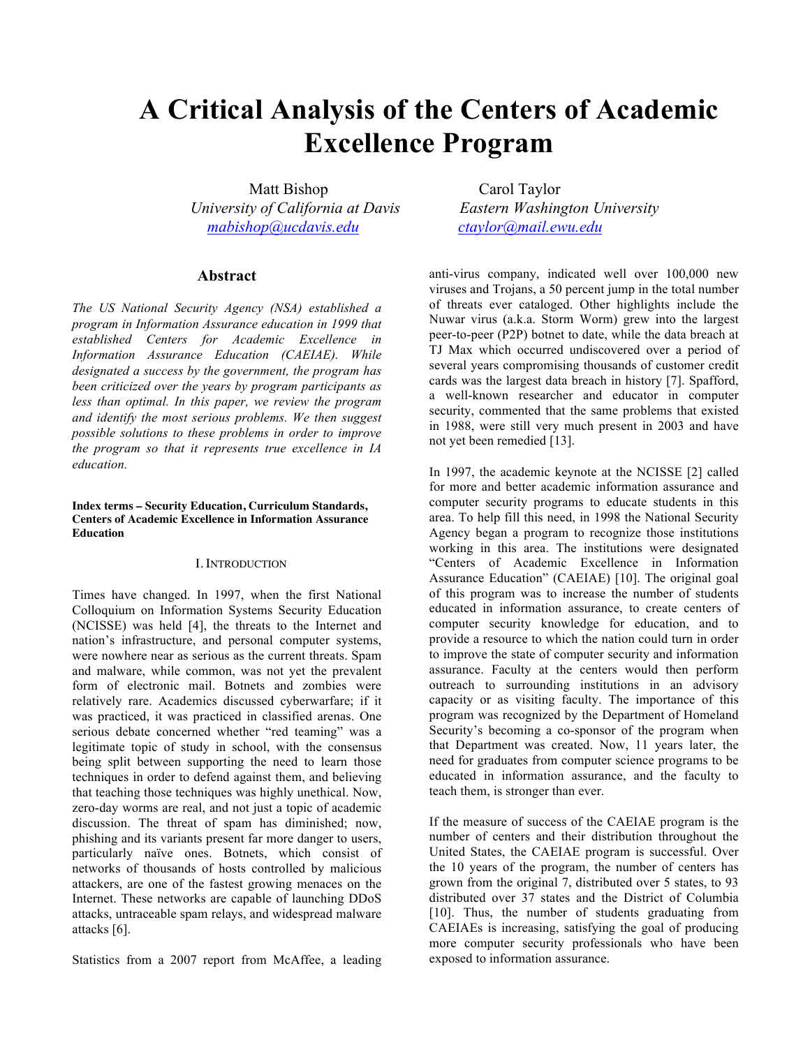# **A Critical Analysis of the Centers of Academic Excellence Program**

Matt Bishop Carol Taylor  *University of California at Davis Eastern Washington University [mabishop@ucdavis.edu](mailto:mabishop@ucdavis.edu) [ctaylor@mail.ewu.edu](mailto:ctaylor@mail.ewu.edu)*

# **Abstract**

*The US National Security Agency (NSA) established a program in Information Assurance education in 1999 that established Centers for Academic Excellence in Information Assurance Education (CAEIAE). While designated a success by the government, the program has been criticized over the years by program participants as less than optimal. In this paper, we review the program and identify the most serious problems. We then suggest possible solutions to these problems in order to improve the program so that it represents true excellence in IA education.*

#### **Index terms – Security Education, Curriculum Standards, Centers of Academic Excellence in Information Assurance Education**

#### I. INTRODUCTION

Times have changed. In 1997, when the first National Colloquium on Information Systems Security Education (NCISSE) was held [4], the threats to the Internet and nation's infrastructure, and personal computer systems, were nowhere near as serious as the current threats. Spam and malware, while common, was not yet the prevalent form of electronic mail. Botnets and zombies were relatively rare. Academics discussed cyberwarfare; if it was practiced, it was practiced in classified arenas. One serious debate concerned whether "red teaming" was a legitimate topic of study in school, with the consensus being split between supporting the need to learn those techniques in order to defend against them, and believing that teaching those techniques was highly unethical. Now, zero-day worms are real, and not just a topic of academic discussion. The threat of spam has diminished; now, phishing and its variants present far more danger to users, particularly naïve ones. Botnets, which consist of networks of thousands of hosts controlled by malicious attackers, are one of the fastest growing menaces on the Internet. These networks are capable of launching DDoS attacks, untraceable spam relays, and widespread malware attacks [6].

Statistics from a 2007 report from McAffee, a leading

anti-virus company, indicated well over 100,000 new viruses and Trojans, a 50 percent jump in the total number of threats ever cataloged. Other highlights include the Nuwar virus (a.k.a. Storm Worm) grew into the largest peer-to-peer (P2P) botnet to date, while the data breach at TJ Max which occurred undiscovered over a period of several years compromising thousands of customer credit cards was the largest data breach in history [7]. Spafford, a well-known researcher and educator in computer security, commented that the same problems that existed in 1988, were still very much present in 2003 and have not yet been remedied [13].

In 1997, the academic keynote at the NCISSE [2] called for more and better academic information assurance and computer security programs to educate students in this area. To help fill this need, in 1998 the National Security Agency began a program to recognize those institutions working in this area. The institutions were designated "Centers of Academic Excellence in Information Assurance Education" (CAEIAE) [10]. The original goal of this program was to increase the number of students educated in information assurance, to create centers of computer security knowledge for education, and to provide a resource to which the nation could turn in order to improve the state of computer security and information assurance. Faculty at the centers would then perform outreach to surrounding institutions in an advisory capacity or as visiting faculty. The importance of this program was recognized by the Department of Homeland Security's becoming a co-sponsor of the program when that Department was created. Now, 11 years later, the need for graduates from computer science programs to be educated in information assurance, and the faculty to teach them, is stronger than ever.

If the measure of success of the CAEIAE program is the number of centers and their distribution throughout the United States, the CAEIAE program is successful. Over the 10 years of the program, the number of centers has grown from the original 7, distributed over 5 states, to 93 distributed over 37 states and the District of Columbia [10]. Thus, the number of students graduating from CAEIAEs is increasing, satisfying the goal of producing more computer security professionals who have been exposed to information assurance.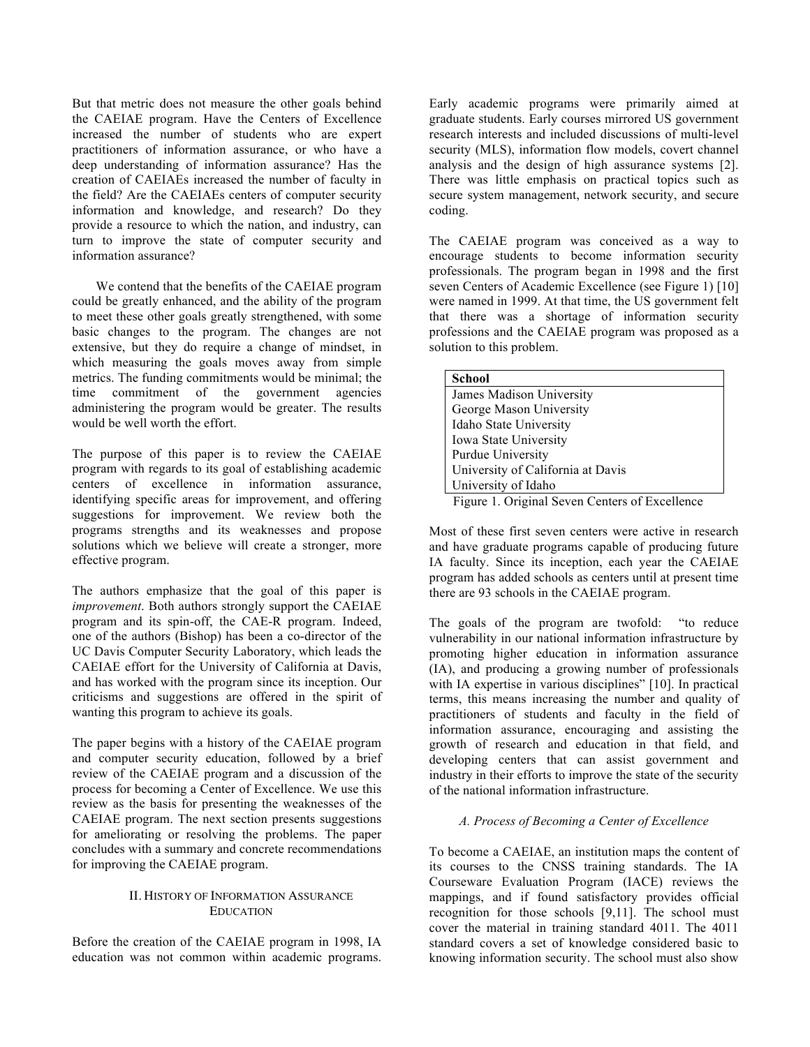But that metric does not measure the other goals behind the CAEIAE program. Have the Centers of Excellence increased the number of students who are expert practitioners of information assurance, or who have a deep understanding of information assurance? Has the creation of CAEIAEs increased the number of faculty in the field? Are the CAEIAEs centers of computer security information and knowledge, and research? Do they provide a resource to which the nation, and industry, can turn to improve the state of computer security and information assurance?

We contend that the benefits of the CAEIAE program could be greatly enhanced, and the ability of the program to meet these other goals greatly strengthened, with some basic changes to the program. The changes are not extensive, but they do require a change of mindset, in which measuring the goals moves away from simple metrics. The funding commitments would be minimal; the time commitment of the government agencies administering the program would be greater. The results would be well worth the effort.

The purpose of this paper is to review the CAEIAE program with regards to its goal of establishing academic centers of excellence in information assurance, identifying specific areas for improvement, and offering suggestions for improvement. We review both the programs strengths and its weaknesses and propose solutions which we believe will create a stronger, more effective program.

The authors emphasize that the goal of this paper is *improvement*. Both authors strongly support the CAEIAE program and its spin-off, the CAE-R program. Indeed, one of the authors (Bishop) has been a co-director of the UC Davis Computer Security Laboratory, which leads the CAEIAE effort for the University of California at Davis, and has worked with the program since its inception. Our criticisms and suggestions are offered in the spirit of wanting this program to achieve its goals.

The paper begins with a history of the CAEIAE program and computer security education, followed by a brief review of the CAEIAE program and a discussion of the process for becoming a Center of Excellence. We use this review as the basis for presenting the weaknesses of the CAEIAE program. The next section presents suggestions for ameliorating or resolving the problems. The paper concludes with a summary and concrete recommendations for improving the CAEIAE program.

# II. HISTORY OF INFORMATION ASSURANCE EDUCATION

Before the creation of the CAEIAE program in 1998, IA education was not common within academic programs. Early academic programs were primarily aimed at graduate students. Early courses mirrored US government research interests and included discussions of multi-level security (MLS), information flow models, covert channel analysis and the design of high assurance systems [2]. There was little emphasis on practical topics such as secure system management, network security, and secure coding.

The CAEIAE program was conceived as a way to encourage students to become information security professionals. The program began in 1998 and the first seven Centers of Academic Excellence (see Figure 1) [10] were named in 1999. At that time, the US government felt that there was a shortage of information security professions and the CAEIAE program was proposed as a solution to this problem.

| <b>School</b>                     |
|-----------------------------------|
| James Madison University          |
| George Mason University           |
| Idaho State University            |
| Iowa State University             |
| Purdue University                 |
| University of California at Davis |
| University of Idaho               |
| $\Gamma$ 10' 10 0 0 0 11          |

Figure 1. Original Seven Centers of Excellence

Most of these first seven centers were active in research and have graduate programs capable of producing future IA faculty. Since its inception, each year the CAEIAE program has added schools as centers until at present time there are 93 schools in the CAEIAE program.

The goals of the program are twofold: "to reduce vulnerability in our national information infrastructure by promoting higher education in information assurance (IA), and producing a growing number of professionals with IA expertise in various disciplines" [10]. In practical terms, this means increasing the number and quality of practitioners of students and faculty in the field of information assurance, encouraging and assisting the growth of research and education in that field, and developing centers that can assist government and industry in their efforts to improve the state of the security of the national information infrastructure.

# *A. Process of Becoming a Center of Excellence*

To become a CAEIAE, an institution maps the content of its courses to the CNSS training standards. The IA Courseware Evaluation Program (IACE) reviews the mappings, and if found satisfactory provides official recognition for those schools [9,11]. The school must cover the material in training standard 4011. The 4011 standard covers a set of knowledge considered basic to knowing information security. The school must also show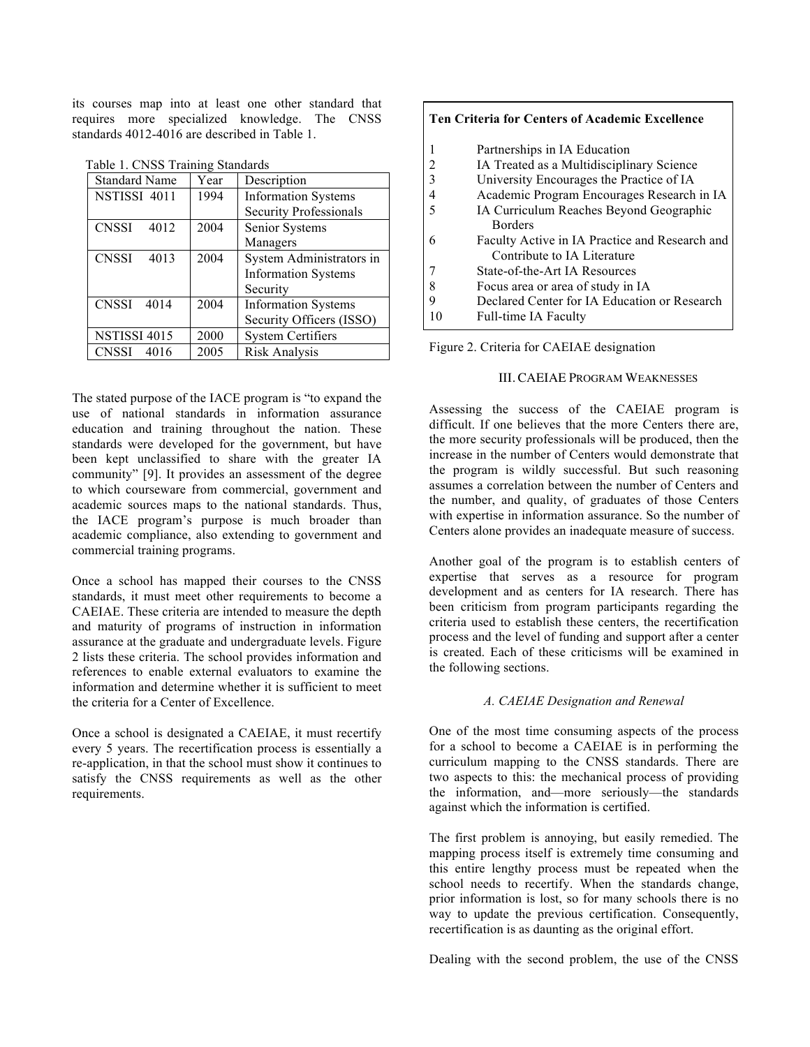its courses map into at least one other standard that requires more specialized knowledge. The CNSS standards 4012-4016 are described in Table 1.

|  |  |  | Table 1. CNSS Training Standards |
|--|--|--|----------------------------------|
|--|--|--|----------------------------------|

| $1401011.$ C <sub>1</sub> (b) $1141111116$ , buthout do |      |                               |  |
|---------------------------------------------------------|------|-------------------------------|--|
| <b>Standard Name</b>                                    | Year | Description                   |  |
| NSTISSI 4011                                            | 1994 | <b>Information Systems</b>    |  |
|                                                         |      | <b>Security Professionals</b> |  |
| <b>CNSSI</b><br>4012                                    | 2004 | Senior Systems                |  |
|                                                         |      | Managers                      |  |
| <b>CNSSI</b><br>4013                                    | 2004 | System Administrators in      |  |
|                                                         |      | <b>Information Systems</b>    |  |
|                                                         |      | Security                      |  |
| <b>CNSSI</b><br>4014                                    | 2004 | <b>Information Systems</b>    |  |
|                                                         |      | Security Officers (ISSO)      |  |
| <b>NSTISSI 4015</b>                                     | 2000 | <b>System Certifiers</b>      |  |
| <b>CNSSI</b><br>4016                                    | 2005 | Risk Analysis                 |  |

The stated purpose of the IACE program is "to expand the use of national standards in information assurance education and training throughout the nation. These standards were developed for the government, but have been kept unclassified to share with the greater IA community" [9]. It provides an assessment of the degree to which courseware from commercial, government and academic sources maps to the national standards. Thus, the IACE program's purpose is much broader than academic compliance, also extending to government and commercial training programs.

Once a school has mapped their courses to the CNSS standards, it must meet other requirements to become a CAEIAE. These criteria are intended to measure the depth and maturity of programs of instruction in information assurance at the graduate and undergraduate levels. Figure 2 lists these criteria. The school provides information and references to enable external evaluators to examine the information and determine whether it is sufficient to meet the criteria for a Center of Excellence.

Once a school is designated a CAEIAE, it must recertify every 5 years. The recertification process is essentially a re-application, in that the school must show it continues to satisfy the CNSS requirements as well as the other requirements.

# **Ten Criteria for Centers of Academic Excellence** 1 Partnerships in IA Education 2 IA Treated as a Multidisciplinary Science 3 University Encourages the Practice of IA 4 Academic Program Encourages Research in IA 5 IA Curriculum Reaches Beyond Geographic **Borders** 6 Faculty Active in IA Practice and Research and Contribute to IA Literature 7 State-of-the-Art IA Resources 8 Focus area or area of study in IA 9 Declared Center for IA Education or Research 10 Full-time IA Faculty

Figure 2. Criteria for CAEIAE designation

# III. CAEIAE PROGRAM WEAKNESSES

Assessing the success of the CAEIAE program is difficult. If one believes that the more Centers there are, the more security professionals will be produced, then the increase in the number of Centers would demonstrate that the program is wildly successful. But such reasoning assumes a correlation between the number of Centers and the number, and quality, of graduates of those Centers with expertise in information assurance. So the number of Centers alone provides an inadequate measure of success.

Another goal of the program is to establish centers of expertise that serves as a resource for program development and as centers for IA research. There has been criticism from program participants regarding the criteria used to establish these centers, the recertification process and the level of funding and support after a center is created. Each of these criticisms will be examined in the following sections.

#### *A. CAEIAE Designation and Renewal*

One of the most time consuming aspects of the process for a school to become a CAEIAE is in performing the curriculum mapping to the CNSS standards. There are two aspects to this: the mechanical process of providing the information, and—more seriously—the standards against which the information is certified.

The first problem is annoying, but easily remedied. The mapping process itself is extremely time consuming and this entire lengthy process must be repeated when the school needs to recertify. When the standards change, prior information is lost, so for many schools there is no way to update the previous certification. Consequently, recertification is as daunting as the original effort.

Dealing with the second problem, the use of the CNSS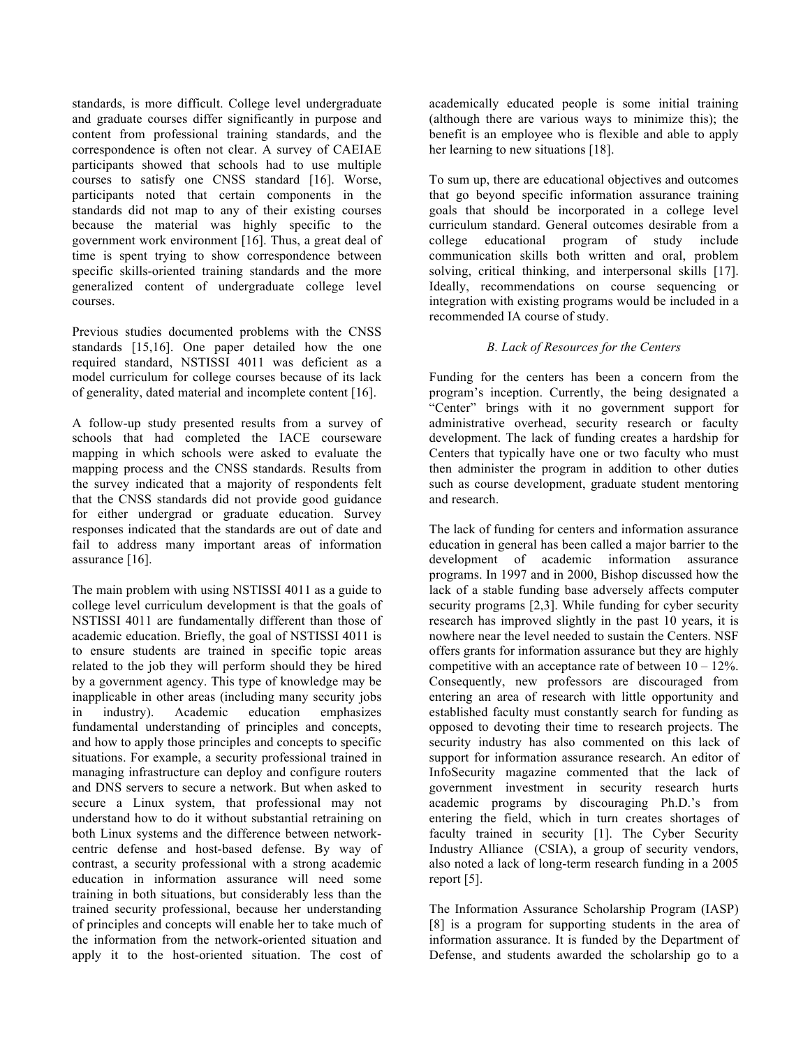standards, is more difficult. College level undergraduate and graduate courses differ significantly in purpose and content from professional training standards, and the correspondence is often not clear. A survey of CAEIAE participants showed that schools had to use multiple courses to satisfy one CNSS standard [16]. Worse, participants noted that certain components in the standards did not map to any of their existing courses because the material was highly specific to the government work environment [16]. Thus, a great deal of time is spent trying to show correspondence between specific skills-oriented training standards and the more generalized content of undergraduate college level courses.

Previous studies documented problems with the CNSS standards [15,16]. One paper detailed how the one required standard, NSTISSI 4011 was deficient as a model curriculum for college courses because of its lack of generality, dated material and incomplete content [16].

A follow-up study presented results from a survey of schools that had completed the IACE courseware mapping in which schools were asked to evaluate the mapping process and the CNSS standards. Results from the survey indicated that a majority of respondents felt that the CNSS standards did not provide good guidance for either undergrad or graduate education. Survey responses indicated that the standards are out of date and fail to address many important areas of information assurance [16].

The main problem with using NSTISSI 4011 as a guide to college level curriculum development is that the goals of NSTISSI 4011 are fundamentally different than those of academic education. Briefly, the goal of NSTISSI 4011 is to ensure students are trained in specific topic areas related to the job they will perform should they be hired by a government agency. This type of knowledge may be inapplicable in other areas (including many security jobs in industry). Academic education emphasizes fundamental understanding of principles and concepts, and how to apply those principles and concepts to specific situations. For example, a security professional trained in managing infrastructure can deploy and configure routers and DNS servers to secure a network. But when asked to secure a Linux system, that professional may not understand how to do it without substantial retraining on both Linux systems and the difference between networkcentric defense and host-based defense. By way of contrast, a security professional with a strong academic education in information assurance will need some training in both situations, but considerably less than the trained security professional, because her understanding of principles and concepts will enable her to take much of the information from the network-oriented situation and apply it to the host-oriented situation. The cost of academically educated people is some initial training (although there are various ways to minimize this); the benefit is an employee who is flexible and able to apply her learning to new situations [18].

To sum up, there are educational objectives and outcomes that go beyond specific information assurance training goals that should be incorporated in a college level curriculum standard. General outcomes desirable from a college educational program of study include communication skills both written and oral, problem solving, critical thinking, and interpersonal skills [17]. Ideally, recommendations on course sequencing or integration with existing programs would be included in a recommended IA course of study.

# *B. Lack of Resources for the Centers*

Funding for the centers has been a concern from the program's inception. Currently, the being designated a "Center" brings with it no government support for administrative overhead, security research or faculty development. The lack of funding creates a hardship for Centers that typically have one or two faculty who must then administer the program in addition to other duties such as course development, graduate student mentoring and research.

The lack of funding for centers and information assurance education in general has been called a major barrier to the development of academic information assurance programs. In 1997 and in 2000, Bishop discussed how the lack of a stable funding base adversely affects computer security programs [2,3]. While funding for cyber security research has improved slightly in the past 10 years, it is nowhere near the level needed to sustain the Centers. NSF offers grants for information assurance but they are highly competitive with an acceptance rate of between  $10 - 12\%$ . Consequently, new professors are discouraged from entering an area of research with little opportunity and established faculty must constantly search for funding as opposed to devoting their time to research projects. The security industry has also commented on this lack of support for information assurance research. An editor of InfoSecurity magazine commented that the lack of government investment in security research hurts academic programs by discouraging Ph.D.'s from entering the field, which in turn creates shortages of faculty trained in security [1]. The Cyber Security Industry Alliance (CSIA), a group of security vendors, also noted a lack of long-term research funding in a 2005 report [5].

The Information Assurance Scholarship Program (IASP) [8] is a program for supporting students in the area of information assurance. It is funded by the Department of Defense, and students awarded the scholarship go to a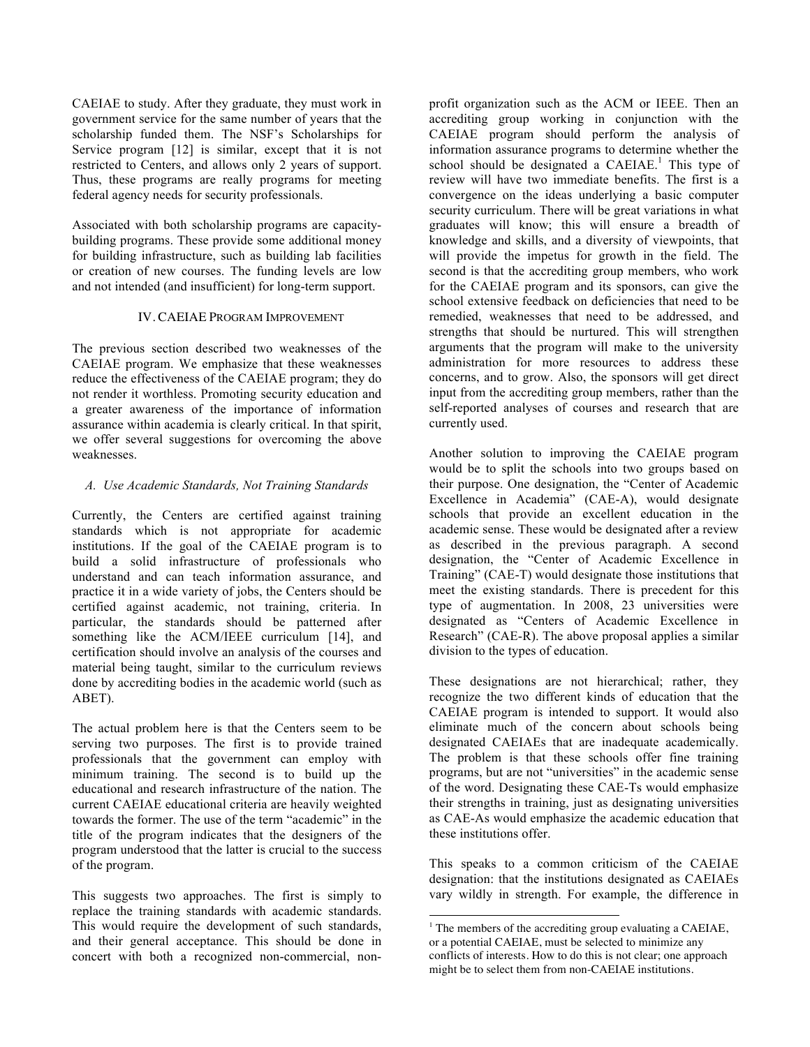CAEIAE to study. After they graduate, they must work in government service for the same number of years that the scholarship funded them. The NSF's Scholarships for Service program [12] is similar, except that it is not restricted to Centers, and allows only 2 years of support. Thus, these programs are really programs for meeting federal agency needs for security professionals.

Associated with both scholarship programs are capacitybuilding programs. These provide some additional money for building infrastructure, such as building lab facilities or creation of new courses. The funding levels are low and not intended (and insufficient) for long-term support.

#### IV. CAEIAE PROGRAM IMPROVEMENT

The previous section described two weaknesses of the CAEIAE program. We emphasize that these weaknesses reduce the effectiveness of the CAEIAE program; they do not render it worthless. Promoting security education and a greater awareness of the importance of information assurance within academia is clearly critical. In that spirit, we offer several suggestions for overcoming the above weaknesses.

# *A. Use Academic Standards, Not Training Standards*

Currently, the Centers are certified against training standards which is not appropriate for academic institutions. If the goal of the CAEIAE program is to build a solid infrastructure of professionals who understand and can teach information assurance, and practice it in a wide variety of jobs, the Centers should be certified against academic, not training, criteria. In particular, the standards should be patterned after something like the ACM/IEEE curriculum [14], and certification should involve an analysis of the courses and material being taught, similar to the curriculum reviews done by accrediting bodies in the academic world (such as ABET).

The actual problem here is that the Centers seem to be serving two purposes. The first is to provide trained professionals that the government can employ with minimum training. The second is to build up the educational and research infrastructure of the nation. The current CAEIAE educational criteria are heavily weighted towards the former. The use of the term "academic" in the title of the program indicates that the designers of the program understood that the latter is crucial to the success of the program.

This suggests two approaches. The first is simply to replace the training standards with academic standards. This would require the development of such standards, and their general acceptance. This should be done in concert with both a recognized non-commercial, nonprofit organization such as the ACM or IEEE. Then an accrediting group working in conjunction with the CAEIAE program should perform the analysis of information assurance programs to determine whether the school should be designated a  $CAEIAE<sup>1</sup>$ . This type of review will have two immediate benefits. The first is a convergence on the ideas underlying a basic computer security curriculum. There will be great variations in what graduates will know; this will ensure a breadth of knowledge and skills, and a diversity of viewpoints, that will provide the impetus for growth in the field. The second is that the accrediting group members, who work for the CAEIAE program and its sponsors, can give the school extensive feedback on deficiencies that need to be remedied, weaknesses that need to be addressed, and strengths that should be nurtured. This will strengthen arguments that the program will make to the university administration for more resources to address these concerns, and to grow. Also, the sponsors will get direct input from the accrediting group members, rather than the self-reported analyses of courses and research that are currently used.

Another solution to improving the CAEIAE program would be to split the schools into two groups based on their purpose. One designation, the "Center of Academic Excellence in Academia" (CAE-A), would designate schools that provide an excellent education in the academic sense. These would be designated after a review as described in the previous paragraph. A second designation, the "Center of Academic Excellence in Training" (CAE-T) would designate those institutions that meet the existing standards. There is precedent for this type of augmentation. In 2008, 23 universities were designated as "Centers of Academic Excellence in Research" (CAE-R). The above proposal applies a similar division to the types of education.

These designations are not hierarchical; rather, they recognize the two different kinds of education that the CAEIAE program is intended to support. It would also eliminate much of the concern about schools being designated CAEIAEs that are inadequate academically. The problem is that these schools offer fine training programs, but are not "universities" in the academic sense of the word. Designating these CAE-Ts would emphasize their strengths in training, just as designating universities as CAE-As would emphasize the academic education that these institutions offer.

This speaks to a common criticism of the CAEIAE designation: that the institutions designated as CAEIAEs vary wildly in strength. For example, the difference in

 $1$ <sup>1</sup> The members of the accrediting group evaluating a CAEIAE, or a potential CAEIAE, must be selected to minimize any conflicts of interests. How to do this is not clear; one approach might be to select them from non-CAEIAE institutions.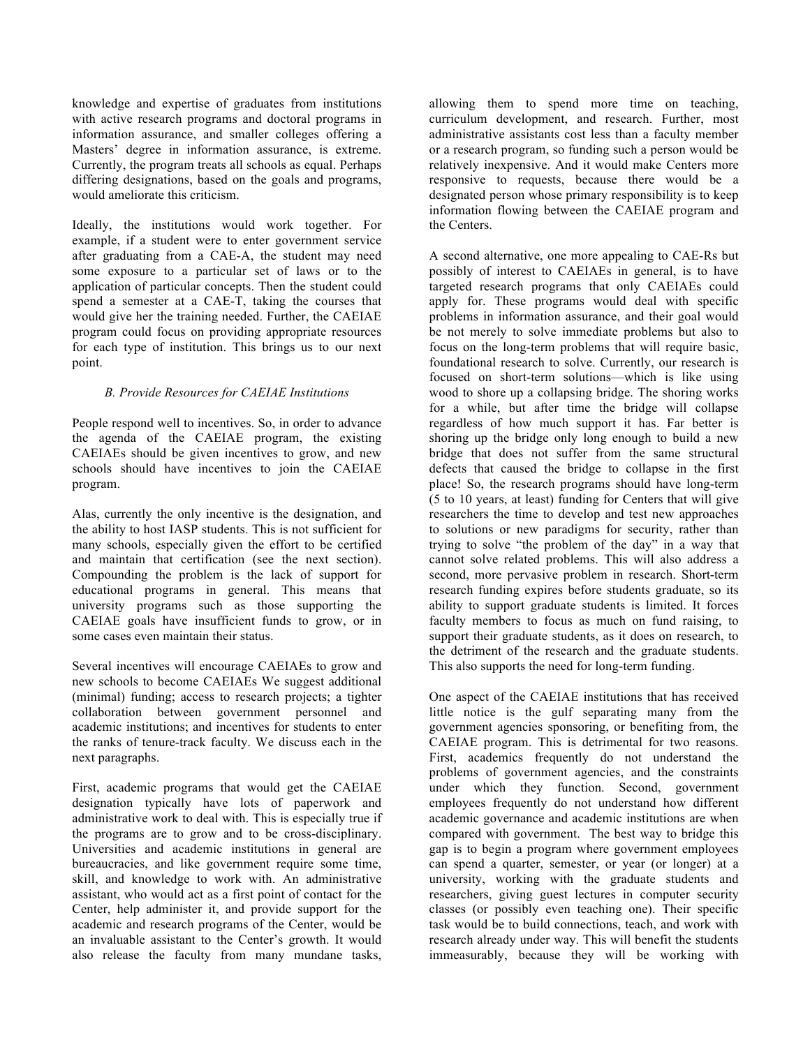knowledge and expertise of graduates from institutions with active research programs and doctoral programs in information assurance, and smaller colleges offering a Masters' degree in information assurance, is extreme. Currently, the program treats all schools as equal. Perhaps differing designations, based on the goals and programs, would ameliorate this criticism.

Ideally, the institutions would work together. For example, if a student were to enter government service after graduating from a CAE-A, the student may need some exposure to a particular set of laws or to the application of particular concepts. Then the student could spend a semester at a CAE-T, taking the courses that would give her the training needed. Further, the CAEIAE program could focus on providing appropriate resources for each type of institution. This brings us to our next point.

# *B. Provide Resources for CAEIAE Institutions*

People respond well to incentives. So, in order to advance the agenda of the CAEIAE program, the existing CAEIAEs should be given incentives to grow, and new schools should have incentives to join the CAEIAE program.

Alas, currently the only incentive is the designation, and the ability to host IASP students. This is not sufficient for many schools, especially given the effort to be certified and maintain that certification (see the next section). Compounding the problem is the lack of support for educational programs in general. This means that university programs such as those supporting the CAEIAE goals have insufficient funds to grow, or in some cases even maintain their status.

Several incentives will encourage CAEIAEs to grow and new schools to become CAEIAEs We suggest additional (minimal) funding; access to research projects; a tighter collaboration between government personnel and academic institutions; and incentives for students to enter the ranks of tenure-track faculty. We discuss each in the next paragraphs.

First, academic programs that would get the CAEIAE designation typically have lots of paperwork and administrative work to deal with. This is especially true if the programs are to grow and to be cross-disciplinary. Universities and academic institutions in general are bureaucracies, and like government require some time, skill, and knowledge to work with. An administrative assistant, who would act as a first point of contact for the Center, help administer it, and provide support for the academic and research programs of the Center, would be an invaluable assistant to the Center's growth. It would also release the faculty from many mundane tasks,

allowing them to spend more time on teaching, curriculum development, and research. Further, most administrative assistants cost less than a faculty member or a research program, so funding such a person would be relatively inexpensive. And it would make Centers more responsive to requests, because there would be a designated person whose primary responsibility is to keep information flowing between the CAEIAE program and the Centers.

A second alternative, one more appealing to CAE-Rs but possibly of interest to CAEIAEs in general, is to have targeted research programs that only CAEIAEs could apply for. These programs would deal with specific problems in information assurance, and their goal would be not merely to solve immediate problems but also to focus on the long-term problems that will require basic, foundational research to solve. Currently, our research is focused on short-term solutions—which is like using wood to shore up a collapsing bridge. The shoring works for a while, but after time the bridge will collapse regardless of how much support it has. Far better is shoring up the bridge only long enough to build a new bridge that does not suffer from the same structural defects that caused the bridge to collapse in the first place! So, the research programs should have long-term (5 to 10 years, at least) funding for Centers that will give researchers the time to develop and test new approaches to solutions or new paradigms for security, rather than trying to solve "the problem of the day" in a way that cannot solve related problems. This will also address a second, more pervasive problem in research. Short-term research funding expires before students graduate, so its ability to support graduate students is limited. It forces faculty members to focus as much on fund raising, to support their graduate students, as it does on research, to the detriment of the research and the graduate students. This also supports the need for long-term funding.

One aspect of the CAEIAE institutions that has received little notice is the gulf separating many from the government agencies sponsoring, or benefiting from, the CAEIAE program. This is detrimental for two reasons. First, academics frequently do not understand the problems of government agencies, and the constraints under which they function. Second, government employees frequently do not understand how different academic governance and academic institutions are when compared with government. The best way to bridge this gap is to begin a program where government employees can spend a quarter, semester, or year (or longer) at a university, working with the graduate students and researchers, giving guest lectures in computer security classes (or possibly even teaching one). Their specific task would be to build connections, teach, and work with research already under way. This will benefit the students immeasurably, because they will be working with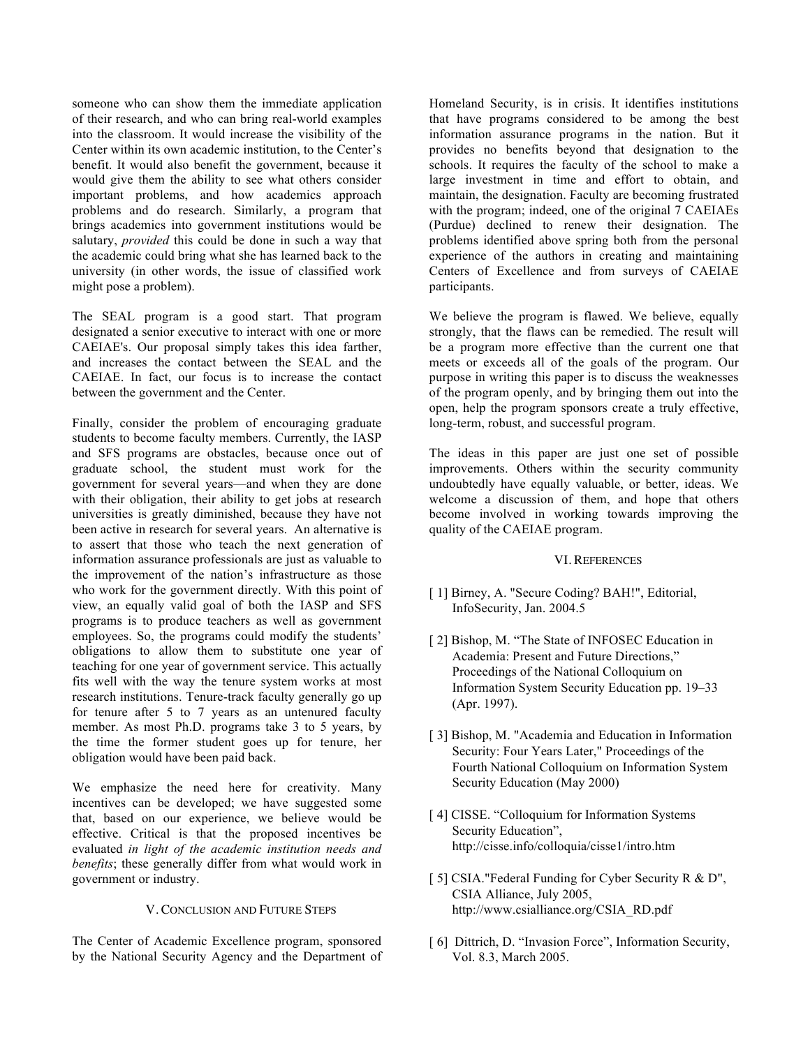someone who can show them the immediate application of their research, and who can bring real-world examples into the classroom. It would increase the visibility of the Center within its own academic institution, to the Center's benefit. It would also benefit the government, because it would give them the ability to see what others consider important problems, and how academics approach problems and do research. Similarly, a program that brings academics into government institutions would be salutary, *provided* this could be done in such a way that the academic could bring what she has learned back to the university (in other words, the issue of classified work might pose a problem).

The SEAL program is a good start. That program designated a senior executive to interact with one or more CAEIAE's. Our proposal simply takes this idea farther, and increases the contact between the SEAL and the CAEIAE. In fact, our focus is to increase the contact between the government and the Center.

Finally, consider the problem of encouraging graduate students to become faculty members. Currently, the IASP and SFS programs are obstacles, because once out of graduate school, the student must work for the government for several years—and when they are done with their obligation, their ability to get jobs at research universities is greatly diminished, because they have not been active in research for several years. An alternative is to assert that those who teach the next generation of information assurance professionals are just as valuable to the improvement of the nation's infrastructure as those who work for the government directly. With this point of view, an equally valid goal of both the IASP and SFS programs is to produce teachers as well as government employees. So, the programs could modify the students' obligations to allow them to substitute one year of teaching for one year of government service. This actually fits well with the way the tenure system works at most research institutions. Tenure-track faculty generally go up for tenure after 5 to 7 years as an untenured faculty member. As most Ph.D. programs take 3 to 5 years, by the time the former student goes up for tenure, her obligation would have been paid back.

We emphasize the need here for creativity. Many incentives can be developed; we have suggested some that, based on our experience, we believe would be effective. Critical is that the proposed incentives be evaluated *in light of the academic institution needs and benefits*; these generally differ from what would work in government or industry.

#### V. CONCLUSION AND FUTURE STEPS

The Center of Academic Excellence program, sponsored by the National Security Agency and the Department of Homeland Security, is in crisis. It identifies institutions that have programs considered to be among the best information assurance programs in the nation. But it provides no benefits beyond that designation to the schools. It requires the faculty of the school to make a large investment in time and effort to obtain, and maintain, the designation. Faculty are becoming frustrated with the program; indeed, one of the original 7 CAEIAEs (Purdue) declined to renew their designation. The problems identified above spring both from the personal experience of the authors in creating and maintaining Centers of Excellence and from surveys of CAEIAE participants.

We believe the program is flawed. We believe, equally strongly, that the flaws can be remedied. The result will be a program more effective than the current one that meets or exceeds all of the goals of the program. Our purpose in writing this paper is to discuss the weaknesses of the program openly, and by bringing them out into the open, help the program sponsors create a truly effective, long-term, robust, and successful program.

The ideas in this paper are just one set of possible improvements. Others within the security community undoubtedly have equally valuable, or better, ideas. We welcome a discussion of them, and hope that others become involved in working towards improving the quality of the CAEIAE program.

## VI. REFERENCES

- [ 1] Birney, A. "Secure Coding? BAH!", Editorial, InfoSecurity, Jan. 2004.5
- [ 2] Bishop, M. "The State of INFOSEC Education in Academia: Present and Future Directions," Proceedings of the National Colloquium on Information System Security Education pp. 19–33 (Apr. 1997).
- [ 3] Bishop, M. "Academia and Education in Information Security: Four Years Later," Proceedings of the Fourth National Colloquium on Information System Security Education (May 2000)
- [ 4] CISSE. "Colloquium for Information Systems Security Education", http://cisse.info/colloquia/cisse1/intro.htm
- [ 5] CSIA."Federal Funding for Cyber Security R & D", CSIA Alliance, July 2005, http://www.csialliance.org/CSIA\_RD.pdf
- [ 6] Dittrich, D. "Invasion Force", Information Security, Vol. 8.3, March 2005.